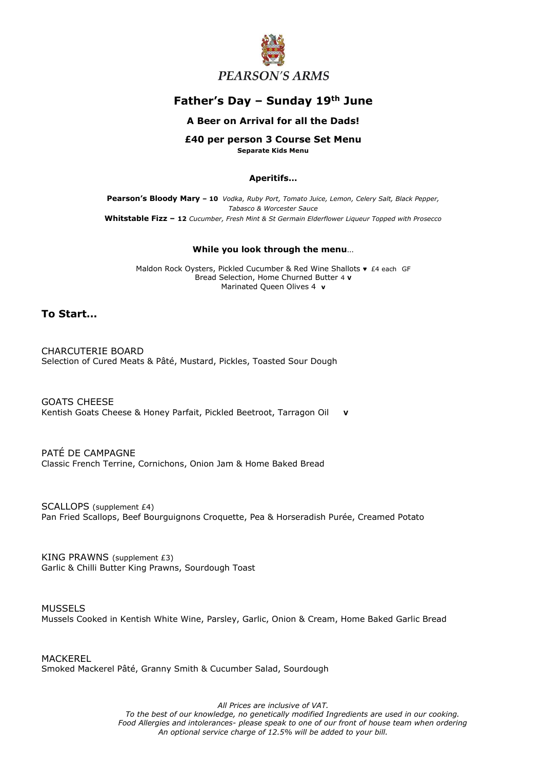

# **Father's Day – Sunday 19th June**

### **A Beer on Arrival for all the Dads!**

# **£40 per person 3 Course Set Menu**

**Separate Kids Menu**

#### **Aperitifs…**

**Pearson's Bloody Mary – 10** *Vodka, Ruby Port, Tomato Juice, Lemon, Celery Salt, Black Pepper, Tabasco & Worcester Sauce* **Whitstable Fizz – 12** *Cucumber, Fresh Mint & St Germain Elderflower Liqueur Topped with Prosecco*

#### **While you look through the menu**…

Maldon Rock Oysters, Pickled Cucumber & Red Wine Shallots ♥ £4 each GF Bread Selection, Home Churned Butter 4 **V** Marinated Queen Olives 4 **v**

### **To Start…**

CHARCUTERIE BOARD Selection of Cured Meats & Pâté, Mustard, Pickles, Toasted Sour Dough

GOATS CHEESE Kentish Goats Cheese & Honey Parfait, Pickled Beetroot, Tarragon Oil **V**

PATÉ DE CAMPAGNE Classic French Terrine, Cornichons, Onion Jam & Home Baked Bread

SCALLOPS (supplement £4) Pan Fried Scallops, Beef Bourguignons Croquette, Pea & Horseradish Purée, Creamed Potato

KING PRAWNS (supplement £3) Garlic & Chilli Butter King Prawns, Sourdough Toast

MUSSELS Mussels Cooked in Kentish White Wine, Parsley, Garlic, Onion & Cream, Home Baked Garlic Bread

MACKEREL Smoked Mackerel Pâté, Granny Smith & Cucumber Salad, Sourdough

*All Prices are inclusive of VAT.*

*To the best of our knowledge, no genetically modified Ingredients are used in our cooking. Food Allergies and intolerances- please speak to one of our front of house team when ordering An optional service charge of 12.5% will be added to your bill.*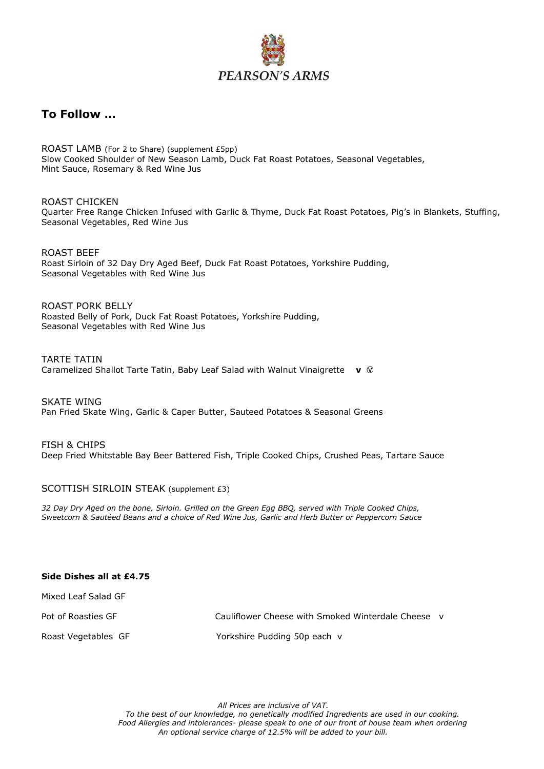

## **To Follow …**

ROAST LAMB (For 2 to Share) (supplement £5pp) Slow Cooked Shoulder of New Season Lamb, Duck Fat Roast Potatoes, Seasonal Vegetables, Mint Sauce, Rosemary & Red Wine Jus

ROAST CHICKEN Quarter Free Range Chicken Infused with Garlic & Thyme, Duck Fat Roast Potatoes, Pig's in Blankets, Stuffing, Seasonal Vegetables, Red Wine Jus

ROAST BEEF Roast Sirloin of 32 Day Dry Aged Beef, Duck Fat Roast Potatoes, Yorkshire Pudding, Seasonal Vegetables with Red Wine Jus

ROAST PORK BELLY Roasted Belly of Pork, Duck Fat Roast Potatoes, Yorkshire Pudding, Seasonal Vegetables with Red Wine Jus

TARTE TATIN Caramelized Shallot Tarte Tatin, Baby Leaf Salad with Walnut Vinaigrette **v** 

SKATE WING Pan Fried Skate Wing, Garlic & Caper Butter, Sauteed Potatoes & Seasonal Greens

FISH & CHIPS Deep Fried Whitstable Bay Beer Battered Fish, Triple Cooked Chips, Crushed Peas, Tartare Sauce

#### SCOTTISH SIRLOIN STEAK (supplement £3)

*32 Day Dry Aged on the bone, Sirloin. Grilled on the Green Egg BBQ, served with Triple Cooked Chips, Sweetcorn & Sautéed Beans and a choice of Red Wine Jus, Garlic and Herb Butter or Peppercorn Sauce*

#### **Side Dishes all at £4.75**

Mixed Leaf Salad GF

Pot of Roasties GF Cauliflower Cheese with Smoked Winterdale Cheese v

Roast Vegetables GF Yorkshire Pudding 50p each v

*All Prices are inclusive of VAT.*

*To the best of our knowledge, no genetically modified Ingredients are used in our cooking. Food Allergies and intolerances- please speak to one of our front of house team when ordering An optional service charge of 12.5% will be added to your bill.*